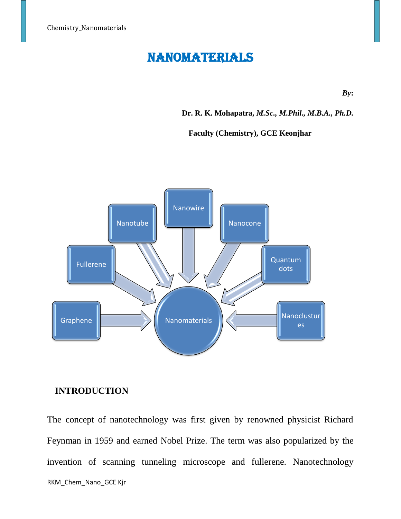# NANOMATERIALS

*By***:** 

**Dr. R. K. Mohapatra,** *M.Sc., M.Phil., M.B.A., Ph.D.*

**Faculty (Chemistry), GCE Keonjhar**



## **INTRODUCTION**

RKM\_Chem\_Nano\_GCE Kjr The concept of nanotechnology was first given by renowned physicist Richard Feynman in 1959 and earned Nobel Prize. The term was also popularized by the invention of scanning tunneling microscope and fullerene. Nanotechnology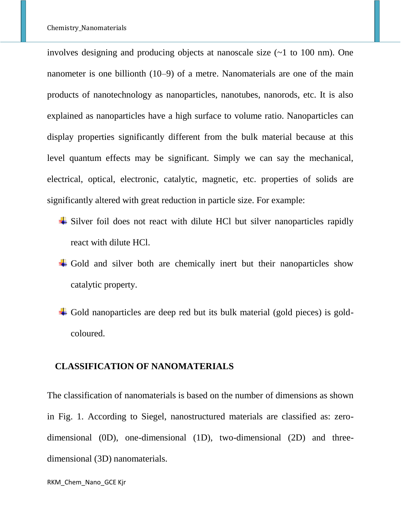involves designing and producing objects at nanoscale size (~1 to 100 nm). One nanometer is one billionth (10–9) of a metre. Nanomaterials are one of the main products of nanotechnology as nanoparticles, nanotubes, nanorods, etc. It is also explained as nanoparticles have a high surface to volume ratio. Nanoparticles can display properties significantly different from the bulk material because at this level quantum effects may be significant. Simply we can say the mechanical, electrical, optical, electronic, catalytic, magnetic, etc. properties of solids are significantly altered with great reduction in particle size. For example:

- $\overline{\phantom{a}}$  Silver foil does not react with dilute HCl but silver nanoparticles rapidly react with dilute HCl.
- $\overline{\text{4}}$  Gold and silver both are chemically inert but their nanoparticles show catalytic property.
- Gold nanoparticles are deep red but its bulk material (gold pieces) is goldcoloured.

#### **CLASSIFICATION OF NANOMATERIALS**

The classification of nanomaterials is based on the number of dimensions as shown in Fig. 1. According to Siegel, nanostructured materials are classified as: zerodimensional (0D), one-dimensional (1D), two-dimensional (2D) and threedimensional (3D) nanomaterials.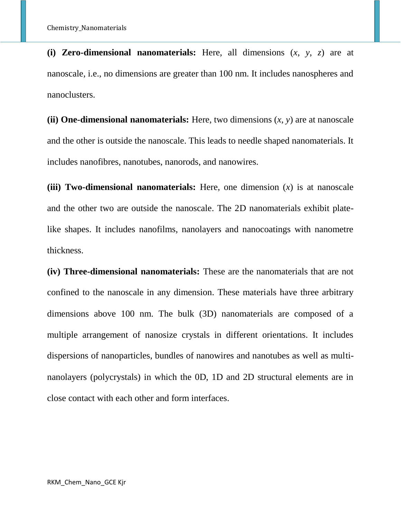**(i) Zero-dimensional nanomaterials:** Here, all dimensions (*x*, *y*, *z*) are at nanoscale, i.e., no dimensions are greater than 100 nm. It includes nanospheres and nanoclusters.

**(ii) One-dimensional nanomaterials:** Here, two dimensions  $(x, y)$  are at nanoscale and the other is outside the nanoscale. This leads to needle shaped nanomaterials. It includes nanofibres, nanotubes, nanorods, and nanowires.

**(iii) Two-dimensional nanomaterials:** Here, one dimension (*x*) is at nanoscale and the other two are outside the nanoscale. The 2D nanomaterials exhibit platelike shapes. It includes nanofilms, nanolayers and nanocoatings with nanometre thickness.

**(iv) Three-dimensional nanomaterials:** These are the nanomaterials that are not confined to the nanoscale in any dimension. These materials have three arbitrary dimensions above 100 nm. The bulk (3D) nanomaterials are composed of a multiple arrangement of nanosize crystals in different orientations. It includes dispersions of nanoparticles, bundles of nanowires and nanotubes as well as multinanolayers (polycrystals) in which the 0D, 1D and 2D structural elements are in close contact with each other and form interfaces.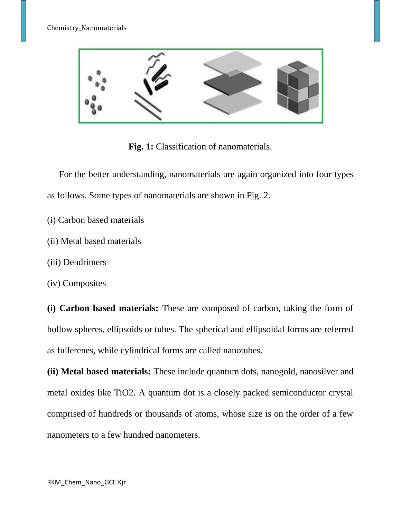

**Fig. 1:** Classification of nanomaterials.

For the better understanding, nanomaterials are again organized into four types as follows. Some types of nanomaterials are shown in Fig. 2.

- (i) Carbon based materials
- (ii) Metal based materials
- (iii) Dendrimers
- (iv) Composites

**(i) Carbon based materials:** These are composed of carbon, taking the form of hollow spheres, ellipsoids or tubes. The spherical and ellipsoidal forms are referred as fullerenes, while cylindrical forms are called nanotubes.

**(ii) Metal based materials:** These include quantum dots, nanogold, nanosilver and metal oxides like TiO2. A quantum dot is a closely packed semiconductor crystal comprised of hundreds or thousands of atoms, whose size is on the order of a few nanometers to a few hundred nanometers.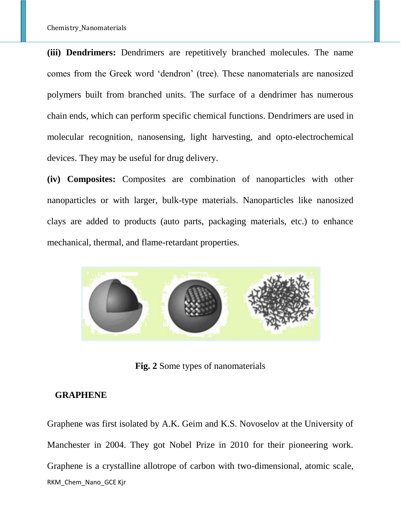**(iii) Dendrimers:** Dendrimers are repetitively branched molecules. The name comes from the Greek word 'dendron' (tree). These nanomaterials are nanosized polymers built from branched units. The surface of a dendrimer has numerous chain ends, which can perform specific chemical functions. Dendrimers are used in molecular recognition, nanosensing, light harvesting, and opto-electrochemical devices. They may be useful for drug delivery.

**(iv) Composites:** Composites are combination of nanoparticles with other nanoparticles or with larger, bulk-type materials. Nanoparticles like nanosized clays are added to products (auto parts, packaging materials, etc.) to enhance mechanical, thermal, and flame-retardant properties.



**Fig. 2** Some types of nanomaterials

#### **GRAPHENE**

RKM\_Chem\_Nano\_GCE Kjr Graphene was first isolated by A.K. Geim and K.S. Novoselov at the University of Manchester in 2004. They got Nobel Prize in 2010 for their pioneering work. Graphene is a crystalline allotrope of carbon with two-dimensional, atomic scale,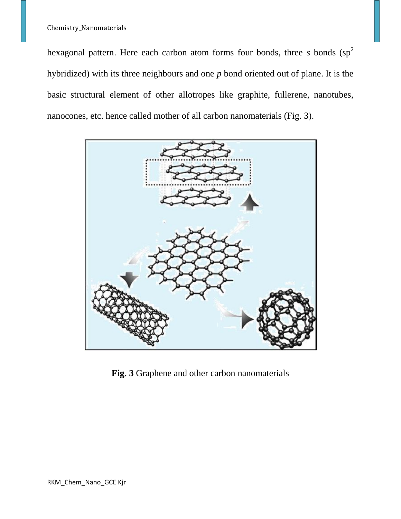hexagonal pattern. Here each carbon atom forms four bonds, three *s* bonds (sp<sup>2</sup>) hybridized) with its three neighbours and one *p* bond oriented out of plane. It is the basic structural element of other allotropes like graphite, fullerene, nanotubes, nanocones, etc. hence called mother of all carbon nanomaterials (Fig. 3).



**Fig. 3** Graphene and other carbon nanomaterials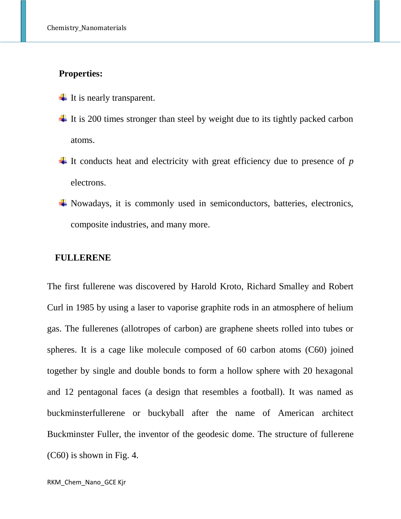## **Properties:**

- $\ddot{\bullet}$  It is nearly transparent.
- $\ddot{\text{I}}$  It is 200 times stronger than steel by weight due to its tightly packed carbon atoms.
- It conducts heat and electricity with great efficiency due to presence of  $p$ electrons.
- Nowadays, it is commonly used in semiconductors, batteries, electronics, composite industries, and many more.

#### **FULLERENE**

The first fullerene was discovered by Harold Kroto, Richard Smalley and Robert Curl in 1985 by using a laser to vaporise graphite rods in an atmosphere of helium gas. The fullerenes (allotropes of carbon) are graphene sheets rolled into tubes or spheres. It is a cage like molecule composed of 60 carbon atoms (C60) joined together by single and double bonds to form a hollow sphere with 20 hexagonal and 12 pentagonal faces (a design that resembles a football). It was named as buckminsterfullerene or buckyball after the name of American architect Buckminster Fuller, the inventor of the geodesic dome. The structure of fullerene (C60) is shown in Fig. 4.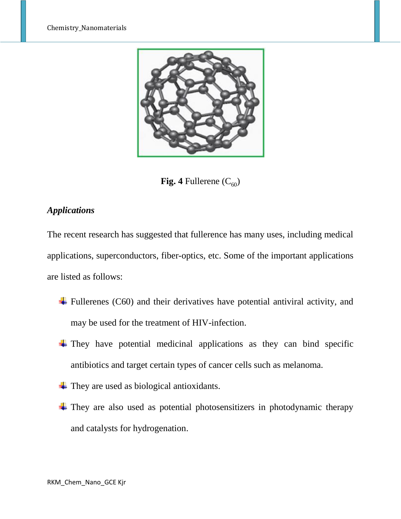

**Fig. 4** Fullerene  $(C_{60})$ 

# *Applications*

The recent research has suggested that fullerence has many uses, including medical applications, superconductors, fiber-optics, etc. Some of the important applications are listed as follows:

- $\ddot{\text{F}}$  Fullerenes (C60) and their derivatives have potential antiviral activity, and may be used for the treatment of HIV-infection.
- $\overline{\phantom{a}}$  They have potential medicinal applications as they can bind specific antibiotics and target certain types of cancer cells such as melanoma.
- $\overline{\phantom{a}}$  They are used as biological antioxidants.
- $\overline{\phantom{a}}$  They are also used as potential photosensitizers in photodynamic therapy and catalysts for hydrogenation.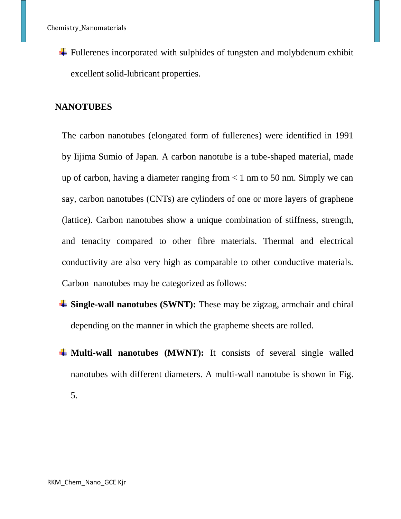$\overline{\phantom{a}}$  Fullerenes incorporated with sulphides of tungsten and molybdenum exhibit excellent solid-lubricant properties.

#### **NANOTUBES**

The carbon nanotubes (elongated form of fullerenes) were identified in 1991 by Iijima Sumio of Japan. A carbon nanotube is a tube-shaped material, made up of carbon, having a diameter ranging from  $< 1$  nm to 50 nm. Simply we can say, carbon nanotubes (CNTs) are cylinders of one or more layers of graphene (lattice). Carbon nanotubes show a unique combination of stiffness, strength, and tenacity compared to other fibre materials. Thermal and electrical conductivity are also very high as comparable to other conductive materials. Carbon nanotubes may be categorized as follows:

- **Single-wall nanotubes (SWNT):** These may be zigzag, armchair and chiral depending on the manner in which the grapheme sheets are rolled.
- $\frac{1}{\sqrt{1}}$  **Multi-wall nanotubes (MWNT):** It consists of several single walled nanotubes with different diameters. A multi-wall nanotube is shown in Fig.

5.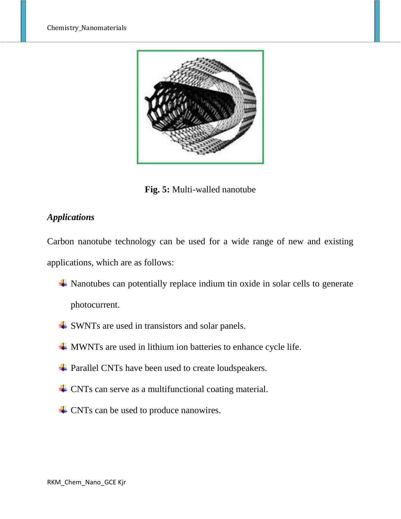

**Fig. 5:** Multi-walled nanotube

## *Applications*

Carbon nanotube technology can be used for a wide range of new and existing applications, which are as follows:

- $\overline{\phantom{a}}$  Nanotubes can potentially replace indium tin oxide in solar cells to generate photocurrent.
- **↓** SWNTs are used in transistors and solar panels.
- **WWNTs** are used in lithium ion batteries to enhance cycle life.
- $\overline{\phantom{a}}$  Parallel CNTs have been used to create loudspeakers.
- $\triangle$  CNTs can serve as a multifunctional coating material.
- $\triangle$  CNTs can be used to produce nanowires.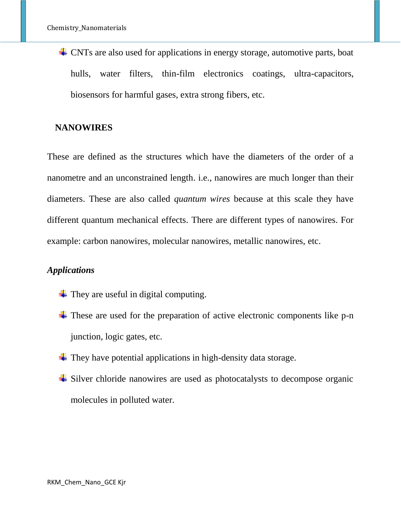CNTs are also used for applications in energy storage, automotive parts, boat hulls, water filters, thin-film electronics coatings, ultra-capacitors, biosensors for harmful gases, extra strong fibers, etc.

## **NANOWIRES**

These are defined as the structures which have the diameters of the order of a nanometre and an unconstrained length. i.e., nanowires are much longer than their diameters. These are also called *quantum wires* because at this scale they have different quantum mechanical effects. There are different types of nanowires. For example: carbon nanowires, molecular nanowires, metallic nanowires, etc.

## *Applications*

- $\overline{\phantom{a}}$  They are useful in digital computing.
- $\overline{\phantom{a}}$  These are used for the preparation of active electronic components like p-n junction, logic gates, etc.
- $\overline{\phantom{a}}$  They have potential applications in high-density data storage.
- $\overline{\phantom{a}}$  Silver chloride nanowires are used as photocatalysts to decompose organic molecules in polluted water.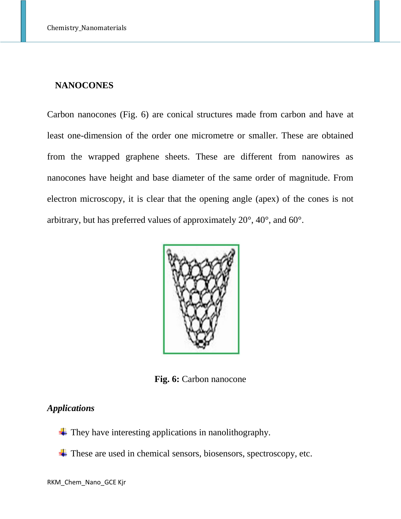#### **NANOCONES**

Carbon nanocones (Fig. 6) are conical structures made from carbon and have at least one-dimension of the order one micrometre or smaller. These are obtained from the wrapped graphene sheets. These are different from nanowires as nanocones have height and base diameter of the same order of magnitude. From electron microscopy, it is clear that the opening angle (apex) of the cones is not arbitrary, but has preferred values of approximately 20°, 40°, and 60°.



**Fig. 6:** Carbon nanocone

## *Applications*

- $\overline{\phantom{a}}$  They have interesting applications in nanolithography.
- $\overline{\phantom{a}}$  These are used in chemical sensors, biosensors, spectroscopy, etc.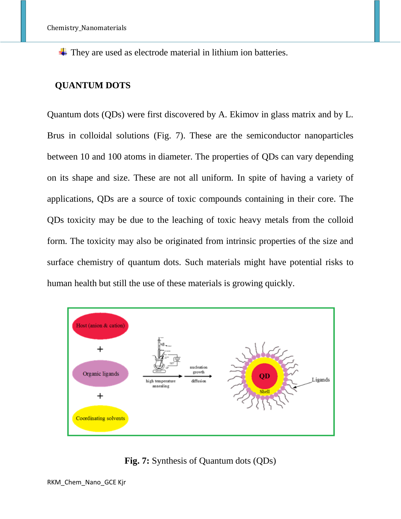$\overline{\phantom{a}}$  They are used as electrode material in lithium ion batteries.

## **QUANTUM DOTS**

Quantum dots (QDs) were first discovered by A. Ekimov in glass matrix and by L. Brus in colloidal solutions (Fig. 7). These are the semiconductor nanoparticles between 10 and 100 atoms in diameter. The properties of QDs can vary depending on its shape and size. These are not all uniform. In spite of having a variety of applications, QDs are a source of toxic compounds containing in their core. The QDs toxicity may be due to the leaching of toxic heavy metals from the colloid form. The toxicity may also be originated from intrinsic properties of the size and surface chemistry of quantum dots. Such materials might have potential risks to human health but still the use of these materials is growing quickly.



**Fig. 7:** Synthesis of Quantum dots (QDs)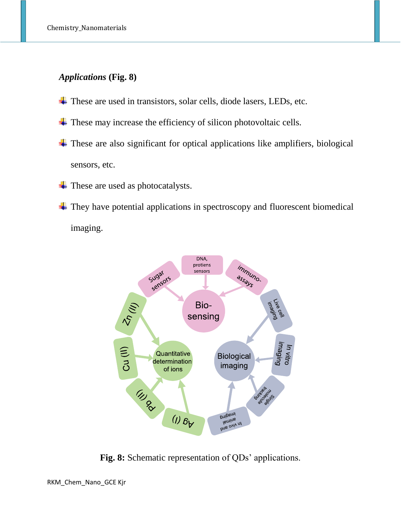# *Applications* **(Fig. 8)**

- $\overline{\text{ }+}$  These are used in transistors, solar cells, diode lasers, LEDs, etc.
- $\overline{\phantom{a}}$  These may increase the efficiency of silicon photovoltaic cells.
- $\overline{\phantom{a}}$  These are also significant for optical applications like amplifiers, biological sensors, etc.
- These are used as photocatalysts. ۰.
- $\overline{\phantom{a}}$  They have potential applications in spectroscopy and fluorescent biomedical imaging.



**Fig. 8:** Schematic representation of QDs' applications.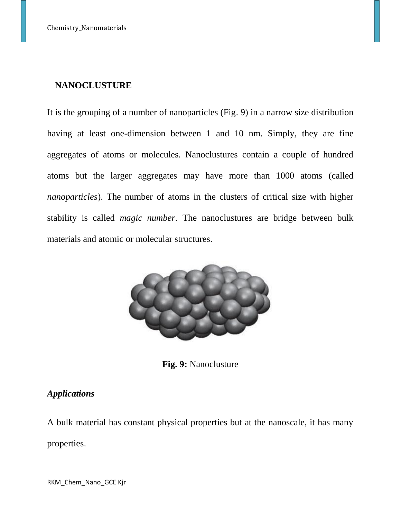#### **NANOCLUSTURE**

It is the grouping of a number of nanoparticles (Fig. 9) in a narrow size distribution having at least one-dimension between 1 and 10 nm. Simply, they are fine aggregates of atoms or molecules. Nanoclustures contain a couple of hundred atoms but the larger aggregates may have more than 1000 atoms (called *nanoparticles*). The number of atoms in the clusters of critical size with higher stability is called *magic number*. The nanoclustures are bridge between bulk materials and atomic or molecular structures.



**Fig. 9:** Nanoclusture

## *Applications*

A bulk material has constant physical properties but at the nanoscale, it has many properties.